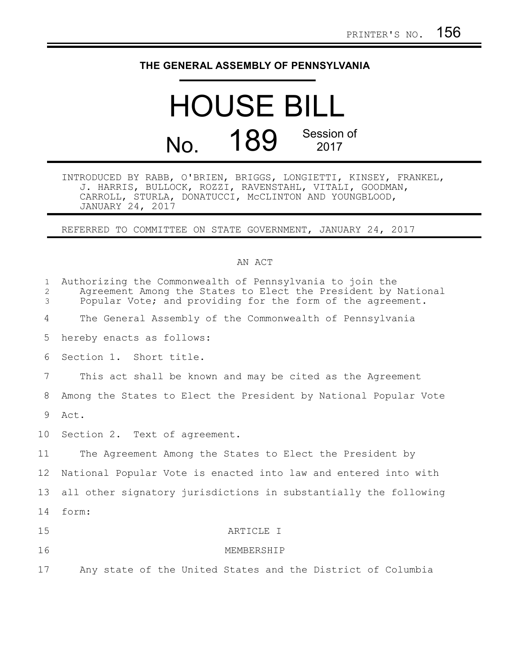## **THE GENERAL ASSEMBLY OF PENNSYLVANIA**

## HOUSE BILL No. 189 Session of 2017

INTRODUCED BY RABB, O'BRIEN, BRIGGS, LONGIETTI, KINSEY, FRANKEL, J. HARRIS, BULLOCK, ROZZI, RAVENSTAHL, VITALI, GOODMAN, CARROLL, STURLA, DONATUCCI, McCLINTON AND YOUNGBLOOD, JANUARY 24, 2017

REFERRED TO COMMITTEE ON STATE GOVERNMENT, JANUARY 24, 2017

## AN ACT

| $\mathbf{1}$<br>2<br>3 | Authorizing the Commonwealth of Pennsylvania to join the<br>Agreement Among the States to Elect the President by National<br>Popular Vote; and providing for the form of the agreement. |
|------------------------|-----------------------------------------------------------------------------------------------------------------------------------------------------------------------------------------|
| 4                      | The General Assembly of the Commonwealth of Pennsylvania                                                                                                                                |
| 5                      | hereby enacts as follows:                                                                                                                                                               |
| 6                      | Section 1. Short title.                                                                                                                                                                 |
| 7                      | This act shall be known and may be cited as the Agreement                                                                                                                               |
| 8                      | Among the States to Elect the President by National Popular Vote                                                                                                                        |
| 9                      | Act.                                                                                                                                                                                    |
| 10                     | Section 2. Text of agreement.                                                                                                                                                           |
| 11                     | The Agreement Among the States to Elect the President by                                                                                                                                |
| 12 <sup>°</sup>        | National Popular Vote is enacted into law and entered into with                                                                                                                         |
| 13                     | all other signatory jurisdictions in substantially the following                                                                                                                        |
| 14                     | form:                                                                                                                                                                                   |
| 15                     | ARTICLE I                                                                                                                                                                               |
| 16                     | MEMBERSHIP                                                                                                                                                                              |
| 17                     | Any state of the United States and the District of Columbia                                                                                                                             |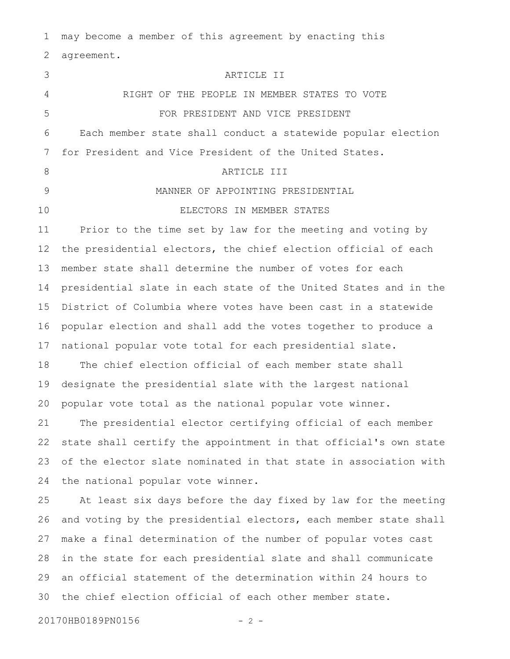may become a member of this agreement by enacting this agreement. ARTICLE II RIGHT OF THE PEOPLE IN MEMBER STATES TO VOTE FOR PRESIDENT AND VICE PRESIDENT Each member state shall conduct a statewide popular election for President and Vice President of the United States. ARTICLE III MANNER OF APPOINTING PRESIDENTIAL ELECTORS IN MEMBER STATES Prior to the time set by law for the meeting and voting by the presidential electors, the chief election official of each member state shall determine the number of votes for each presidential slate in each state of the United States and in the District of Columbia where votes have been cast in a statewide popular election and shall add the votes together to produce a national popular vote total for each presidential slate. The chief election official of each member state shall designate the presidential slate with the largest national popular vote total as the national popular vote winner. The presidential elector certifying official of each member state shall certify the appointment in that official's own state of the elector slate nominated in that state in association with the national popular vote winner. At least six days before the day fixed by law for the meeting and voting by the presidential electors, each member state shall make a final determination of the number of popular votes cast in the state for each presidential slate and shall communicate an official statement of the determination within 24 hours to the chief election official of each other member state. 1 2 3 4 5 6 7 8 9 10 11 12 13 14 15 16 17 18 19 20 21 22 23 24 25 26 27 28 29 30

20170HB0189PN0156 - 2 -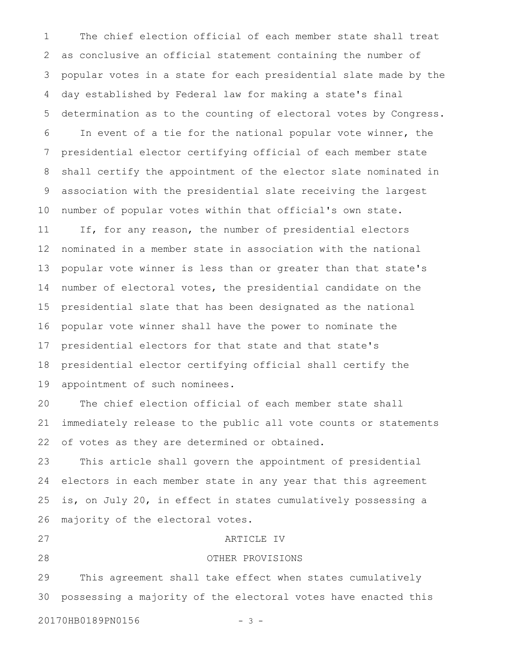The chief election official of each member state shall treat as conclusive an official statement containing the number of popular votes in a state for each presidential slate made by the day established by Federal law for making a state's final determination as to the counting of electoral votes by Congress. In event of a tie for the national popular vote winner, the presidential elector certifying official of each member state shall certify the appointment of the elector slate nominated in association with the presidential slate receiving the largest number of popular votes within that official's own state. If, for any reason, the number of presidential electors nominated in a member state in association with the national popular vote winner is less than or greater than that state's number of electoral votes, the presidential candidate on the presidential slate that has been designated as the national popular vote winner shall have the power to nominate the presidential electors for that state and that state's presidential elector certifying official shall certify the appointment of such nominees. The chief election official of each member state shall immediately release to the public all vote counts or statements of votes as they are determined or obtained. This article shall govern the appointment of presidential electors in each member state in any year that this agreement is, on July 20, in effect in states cumulatively possessing a majority of the electoral votes. ARTICLE IV OTHER PROVISIONS This agreement shall take effect when states cumulatively possessing a majority of the electoral votes have enacted this 1 2 3 4 5 6 7 8 9 10 11 12 13 14 15 16 17 18 19 20 21 22 23 24 25 26 27 28 29 30

20170HB0189PN0156 - 3 -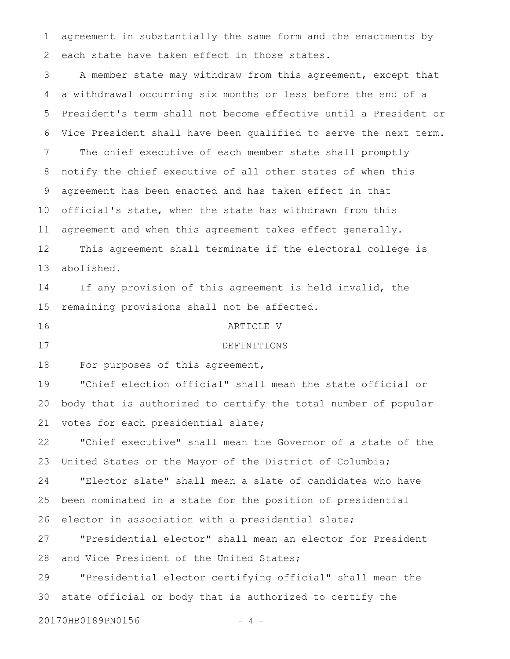agreement in substantially the same form and the enactments by each state have taken effect in those states. 1 2

A member state may withdraw from this agreement, except that a withdrawal occurring six months or less before the end of a President's term shall not become effective until a President or Vice President shall have been qualified to serve the next term. The chief executive of each member state shall promptly notify the chief executive of all other states of when this agreement has been enacted and has taken effect in that official's state, when the state has withdrawn from this agreement and when this agreement takes effect generally. This agreement shall terminate if the electoral college is abolished. If any provision of this agreement is held invalid, the remaining provisions shall not be affected. ARTICLE V DEFINITIONS For purposes of this agreement, "Chief election official" shall mean the state official or body that is authorized to certify the total number of popular votes for each presidential slate; "Chief executive" shall mean the Governor of a state of the United States or the Mayor of the District of Columbia; "Elector slate" shall mean a slate of candidates who have been nominated in a state for the position of presidential elector in association with a presidential slate; "Presidential elector" shall mean an elector for President and Vice President of the United States; "Presidential elector certifying official" shall mean the state official or body that is authorized to certify the 20170HB0189PN0156 - 4 -3 4 5 6 7 8 9 10 11 12 13 14 15 16 17 18 19 20 21 22 23 24 25 26 27 28 29 30